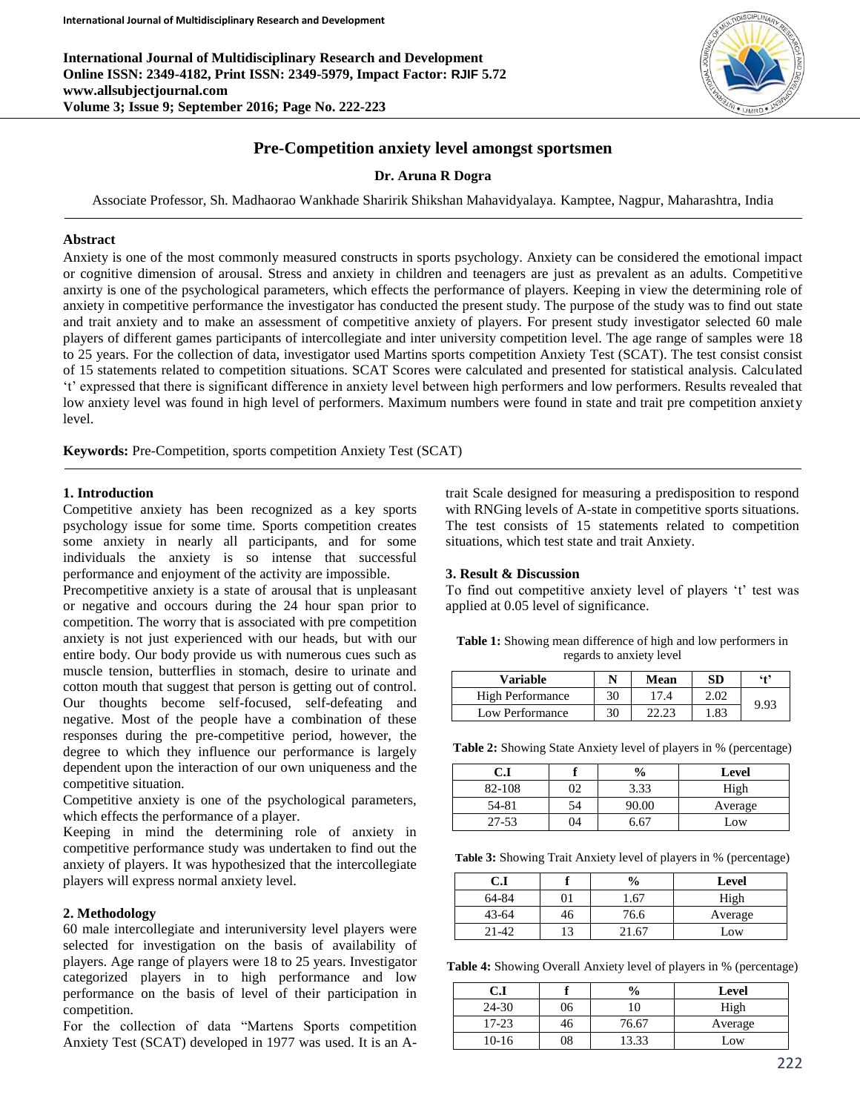**International Journal of Multidisciplinary Research and Development Online ISSN: 2349-4182, Print ISSN: 2349-5979, Impact Factor: RJIF 5.72 www.allsubjectjournal.com Volume 3; Issue 9; September 2016; Page No. 222-223**



# **Pre-Competition anxiety level amongst sportsmen**

### **Dr. Aruna R Dogra**

Associate Professor, Sh. Madhaorao Wankhade Sharirik Shikshan Mahavidyalaya. Kamptee, Nagpur, Maharashtra, India

#### **Abstract**

Anxiety is one of the most commonly measured constructs in sports psychology. Anxiety can be considered the emotional impact or cognitive dimension of arousal. Stress and anxiety in children and teenagers are just as prevalent as an adults. Competitive anxirty is one of the psychological parameters, which effects the performance of players. Keeping in view the determining role of anxiety in competitive performance the investigator has conducted the present study. The purpose of the study was to find out state and trait anxiety and to make an assessment of competitive anxiety of players. For present study investigator selected 60 male players of different games participants of intercollegiate and inter university competition level. The age range of samples were 18 to 25 years. For the collection of data, investigator used Martins sports competition Anxiety Test (SCAT). The test consist consist of 15 statements related to competition situations. SCAT Scores were calculated and presented for statistical analysis. Calculated 't' expressed that there is significant difference in anxiety level between high performers and low performers. Results revealed that low anxiety level was found in high level of performers. Maximum numbers were found in state and trait pre competition anxiety level.

**Keywords:** Pre-Competition, sports competition Anxiety Test (SCAT)

### **1. Introduction**

Competitive anxiety has been recognized as a key sports psychology issue for some time. Sports competition creates some anxiety in nearly all participants, and for some individuals the anxiety is so intense that successful performance and enjoyment of the activity are impossible.

Precompetitive anxiety is a state of arousal that is unpleasant or negative and occours during the 24 hour span prior to competition. The worry that is associated with pre competition anxiety is not just experienced with our heads, but with our entire body. Our body provide us with numerous cues such as muscle tension, butterflies in stomach, desire to urinate and cotton mouth that suggest that person is getting out of control. Our thoughts become self-focused, self-defeating and negative. Most of the people have a combination of these responses during the pre-competitive period, however, the degree to which they influence our performance is largely dependent upon the interaction of our own uniqueness and the competitive situation.

Competitive anxiety is one of the psychological parameters, which effects the performance of a player.

Keeping in mind the determining role of anxiety in competitive performance study was undertaken to find out the anxiety of players. It was hypothesized that the intercollegiate players will express normal anxiety level.

#### **2. Methodology**

60 male intercollegiate and interuniversity level players were selected for investigation on the basis of availability of players. Age range of players were 18 to 25 years. Investigator categorized players in to high performance and low performance on the basis of level of their participation in competition.

For the collection of data "Martens Sports competition Anxiety Test (SCAT) developed in 1977 was used. It is an A-

trait Scale designed for measuring a predisposition to respond with RNGing levels of A-state in competitive sports situations. The test consists of 15 statements related to competition situations, which test state and trait Anxiety.

#### **3. Result & Discussion**

To find out competitive anxiety level of players 't' test was applied at 0.05 level of significance.

**Table 1:** Showing mean difference of high and low performers in regards to anxiety level

| <b>Variable</b>  |    | Mean  | SD   | 645  |  |
|------------------|----|-------|------|------|--|
| High Performance | 30 |       | 2.02 | 9.93 |  |
| Low Performance  | 30 | າາ າະ | 1.83 |      |  |

**Table 2:** Showing State Anxiety level of players in % (percentage)

| C.I    |    | $\frac{6}{6}$ | Level   |
|--------|----|---------------|---------|
| 82-108 | 02 | 3.33          | High    |
| 54-81  | 54 | 90.00         | Average |
| 27-53  | 14 | 5 67          | Low     |

**Table 3:** Showing Trait Anxiety level of players in % (percentage)

| C.I       |    | $\frac{0}{0}$ | Level   |
|-----------|----|---------------|---------|
| 64-84     |    | . .67         | High    |
| $43 - 64$ | 46 | 76.6          | Average |
| $21 - 42$ | 13 | -67           | Low     |

**Table 4:** Showing Overall Anxiety level of players in % (percentage)

| C.I     |    | $\frac{6}{9}$ | Level   |
|---------|----|---------------|---------|
| 24-30   | 96 |               | High    |
| 17-23   | ŦО | 76.67         | Average |
| $10-16$ | )8 | 13.33         | Low     |